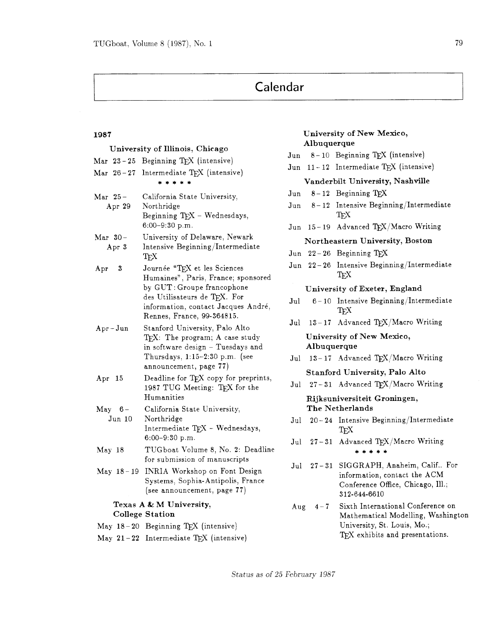# Calendar

| University of Illinois, Chicago                   |                    |                                                                                                                                                                                                        |
|---------------------------------------------------|--------------------|--------------------------------------------------------------------------------------------------------------------------------------------------------------------------------------------------------|
|                                                   | Mar 23-25          | Beginning TEX (intensive)                                                                                                                                                                              |
|                                                   |                    | Mar 26-27 Intermediate TEX (intensive)<br>* * * * *                                                                                                                                                    |
| Mar 25-                                           | Apr 29             | California State University,<br>Northridge<br>Beginning TEX - Wednesdays,<br>$6:00-9:30$ p.m.                                                                                                          |
| Mar 30-                                           | Apr 3              | University of Delaware, Newark<br>Intensive Beginning/Intermediate<br>TFX                                                                                                                              |
| $_{\rm Apr}$                                      | 3                  | Journée "TEX et les Sciences<br>Humaines", Paris, France; sponsored<br>by GUT: Groupe francophone<br>des Utilisateurs de TFX. For<br>information, contact Jacques André,<br>Rennes, France, 99-364815. |
|                                                   | $Apr-Jun$          | Stanford University, Palo Alto<br>TEX: The program; A case study<br>in software design - Tuesdays and<br>Thursdays, $1.15-2.30$ p.m. (see<br>announcement, page 77)                                    |
| $_{\rm Apr}$                                      | -15                | Deadline for TEX copy for preprints,<br>1987 TUG Meeting: TEX for the<br>Humanities                                                                                                                    |
|                                                   | $May 6-$<br>Jun 10 | California State University,<br>Northridge<br>Intermediate TFX - Wednesdays,<br>$6:00-9:30$ p.m.                                                                                                       |
| May 18                                            |                    | TUGboat Volume 8, No. 2: Deadline<br>for submission of manuscripts                                                                                                                                     |
|                                                   | $May 18-19$        | INRIA Workshop on Font Design<br>Systems, Sophia-Antipolis, France<br>(see announcement, page 77)                                                                                                      |
| Texas A & M University,<br><b>College Station</b> |                    |                                                                                                                                                                                                        |

## May  $18-20$  Beginning T<sub>F</sub>X (intensive)

May **21** - **22** Intermediate **TEX** (intensive)

# **1987 University of New Mexico, Albuquerque**

- Jun 8-10 Beginning TFX (intensive)
- Jun **11 12** Intermediate **TEX** (intensive)

### **Vanderbilt University, Nashville**

- Jun 8- **12** Beginning
- Jun **8- 12** Intensive Beginning/Intermediate TFX
- Jun 15-19 Advanced TEX/Macro Writing

# **Northeastern University, Boston**

- $Jun 22-26$  Beginning  $TeX$
- Jun **22 26** Intensive Beginning/Intermediate TFX

## **University of Exeter, England**

- Jul <sup>6</sup> **10** Intensive Beginning/Intermediate TFX
- Jul 13-17 Advanced TFX/Macro Writing

# **University of New Mexico, Albuquerque**

Jul 13-17 Advanced T<sub>E</sub>X/Macro Writing

# **Stanford University, Palo Alto**

Jul 27-31 Advanced TEX/Macro Writing

# **Rijksuniversiteit Groningen, The Netherlands**

- Jul **20 24** Intensive Beginning/Intermediate TFX
- Jul 27-31 Advanced TEX/Macro Writing \*\*\*\*\*
- Jul **27 31** SIGGRAPH, Anaheim, Calif.. For information, contact the ACM Conference Office, Chicago, Ill.; **312-644-6610**
- Aug **4 7** Sixth International Conference on Mathematical Modelling, Washington University, St. Louis, Mo.; TFX exhibits and presentations.